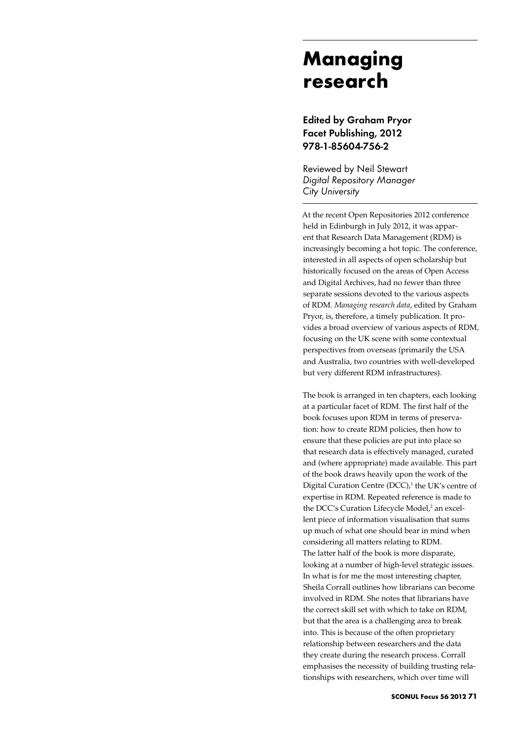## **Managing research**

Edited by Graham Pryor Facet Publishing, 2012 978-1-85604-756-2

Reviewed by Neil Stewart *Digital Repository Manager City University*

At the recent Open Repositories 2012 conference held in Edinburgh in July 2012, it was apparent that Research Data Management (RDM) is increasingly becoming a hot topic. The conference, interested in all aspects of open scholarship but historically focused on the areas of Open Access and Digital Archives, had no fewer than three separate sessions devoted to the various aspects of RDM. *Managing research data*, edited by Graham Pryor, is, therefore, a timely publication. It provides a broad overview of various aspects of RDM, focusing on the UK scene with some contextual perspectives from overseas (primarily the USA and Australia, two countries with well-developed but very different RDM infrastructures).

The book is arranged in ten chapters, each looking at a particular facet of RDM. The first half of the book focuses upon RDM in terms of preservation: how to create RDM policies, then how to ensure that these policies are put into place so that research data is effectively managed, curated and (where appropriate) made available. This part of the book draws heavily upon the work of the Digital Curation Centre  $(DCC)$ ,<sup>1</sup> the UK's centre of expertise in RDM. Repeated reference is made to the DCC's Curation Lifecycle Model,<sup>2</sup> an excellent piece of information visualisation that sums up much of what one should bear in mind when considering all matters relating to RDM. The latter half of the book is more disparate, looking at a number of high-level strategic issues. In what is for me the most interesting chapter, Sheila Corrall outlines how librarians can become involved in RDM. She notes that librarians have the correct skill set with which to take on RDM, but that the area is a challenging area to break into. This is because of the often proprietary relationship between researchers and the data they create during the research process. Corrall emphasises the necessity of building trusting relationships with researchers, which over time will